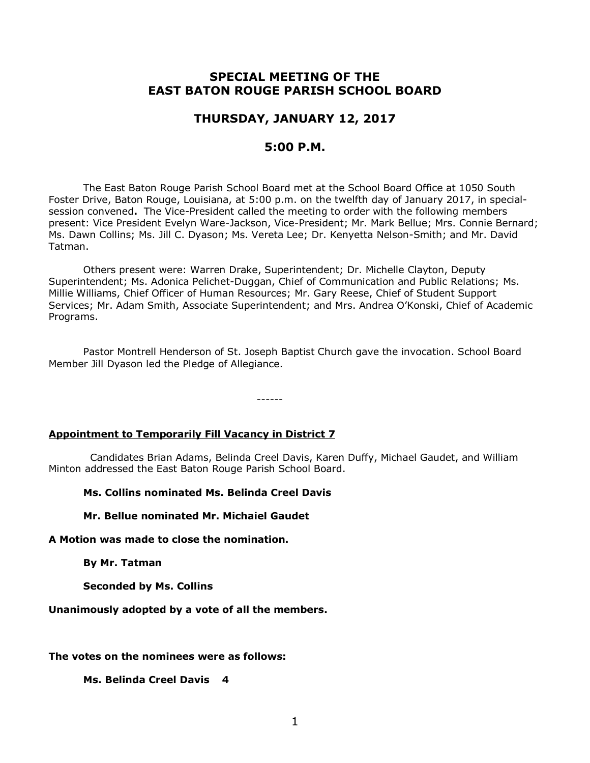# **SPECIAL MEETING OF THE EAST BATON ROUGE PARISH SCHOOL BOARD**

## **THURSDAY, JANUARY 12, 2017**

### **5:00 P.M.**

The East Baton Rouge Parish School Board met at the School Board Office at 1050 South Foster Drive, Baton Rouge, Louisiana, at 5:00 p.m. on the twelfth day of January 2017, in specialsession convened**.** The Vice-President called the meeting to order with the following members present: Vice President Evelyn Ware-Jackson, Vice-President; Mr. Mark Bellue; Mrs. Connie Bernard; Ms. Dawn Collins; Ms. Jill C. Dyason; Ms. Vereta Lee; Dr. Kenyetta Nelson-Smith; and Mr. David Tatman.

Others present were: Warren Drake, Superintendent; Dr. Michelle Clayton, Deputy Superintendent; Ms. Adonica Pelichet-Duggan, Chief of Communication and Public Relations; Ms. Millie Williams, Chief Officer of Human Resources; Mr. Gary Reese, Chief of Student Support Services; Mr. Adam Smith, Associate Superintendent; and Mrs. Andrea O'Konski, Chief of Academic Programs.

Pastor Montrell Henderson of St. Joseph Baptist Church gave the invocation. School Board Member Jill Dyason led the Pledge of Allegiance.

------

### **Appointment to Temporarily Fill Vacancy in District 7**

 Candidates Brian Adams, Belinda Creel Davis, Karen Duffy, Michael Gaudet, and William Minton addressed the East Baton Rouge Parish School Board.

**Ms. Collins nominated Ms. Belinda Creel Davis**

**Mr. Bellue nominated Mr. Michaiel Gaudet**

**A Motion was made to close the nomination.**

**By Mr. Tatman**

**Seconded by Ms. Collins**

**Unanimously adopted by a vote of all the members.**

**The votes on the nominees were as follows:**

**Ms. Belinda Creel Davis 4**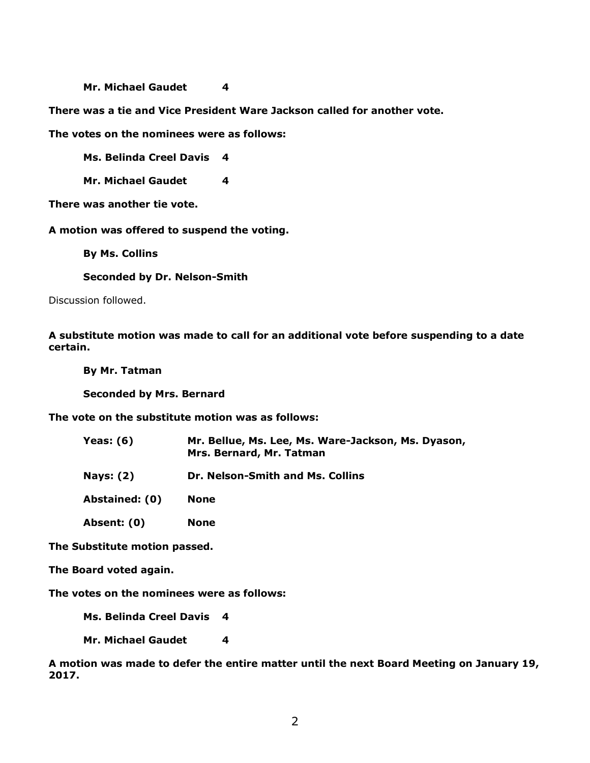#### **Mr. Michael Gaudet 4**

**There was a tie and Vice President Ware Jackson called for another vote.**

**The votes on the nominees were as follows:**

**Ms. Belinda Creel Davis 4**

**Mr. Michael Gaudet 4**

**There was another tie vote.**

**A motion was offered to suspend the voting.**

**By Ms. Collins**

**Seconded by Dr. Nelson-Smith**

Discussion followed.

**A substitute motion was made to call for an additional vote before suspending to a date certain.**

**By Mr. Tatman Seconded by Mrs. Bernard**

**The vote on the substitute motion was as follows:**

| Yeas: (6)        | Mr. Bellue, Ms. Lee, Ms. Ware-Jackson, Ms. Dyason,<br>Mrs. Bernard, Mr. Tatman |
|------------------|--------------------------------------------------------------------------------|
| <b>Nays: (2)</b> | Dr. Nelson-Smith and Ms. Collins                                               |
| Abstained: (0)   | <b>None</b>                                                                    |
| Absent: (0)      | <b>None</b>                                                                    |

**The Substitute motion passed.**

**The Board voted again.**

**The votes on the nominees were as follows:**

**Ms. Belinda Creel Davis 4**

**Mr. Michael Gaudet 4**

**A motion was made to defer the entire matter until the next Board Meeting on January 19, 2017.**